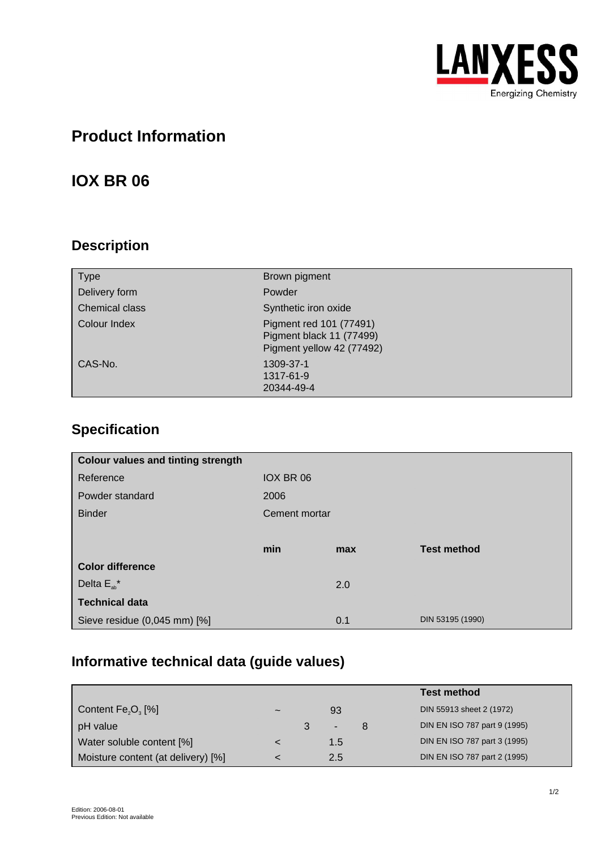

# **Product Information**

## **IOX BR 06**

### **Description**

| <b>Type</b>    | Brown pigment                                                                    |
|----------------|----------------------------------------------------------------------------------|
| Delivery form  | Powder                                                                           |
| Chemical class | Synthetic iron oxide                                                             |
| Colour Index   | Pigment red 101 (77491)<br>Pigment black 11 (77499)<br>Pigment yellow 42 (77492) |
| CAS-No.        | 1309-37-1<br>1317-61-9<br>20344-49-4                                             |

## **Specification**

| <b>Colour values and tinting strength</b> |               |     |                    |
|-------------------------------------------|---------------|-----|--------------------|
| Reference                                 | IOX BR 06     |     |                    |
| Powder standard                           | 2006          |     |                    |
| <b>Binder</b>                             | Cement mortar |     |                    |
|                                           |               |     |                    |
|                                           | min           | max | <b>Test method</b> |
| <b>Color difference</b>                   |               |     |                    |
| Delta $E_{ab}^*$                          |               | 2.0 |                    |
| <b>Technical data</b>                     |               |     |                    |
| Sieve residue (0,045 mm) [%]              |               | 0.1 | DIN 53195 (1990)   |

## **Informative technical data (guide values)**

|                                    |            |     | <b>Test method</b>           |
|------------------------------------|------------|-----|------------------------------|
| Content $Fe2O3$ [%]                | $\tilde{}$ | 93  | DIN 55913 sheet 2 (1972)     |
| pH value                           |            | ٠   | DIN EN ISO 787 part 9 (1995) |
| Water soluble content [%]          |            | 1.5 | DIN EN ISO 787 part 3 (1995) |
| Moisture content (at delivery) [%] |            | 2.5 | DIN EN ISO 787 part 2 (1995) |